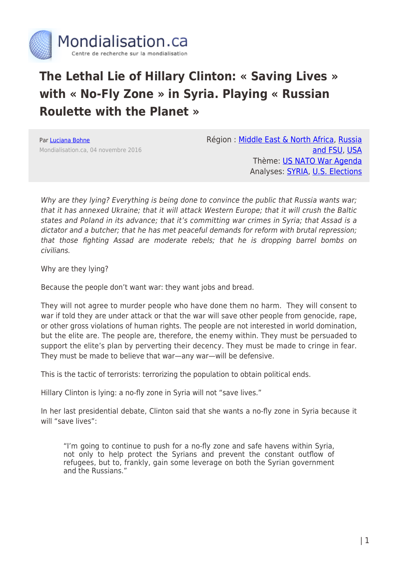

## **The Lethal Lie of Hillary Clinton: « Saving Lives » with « No-Fly Zone » in Syria. Playing « Russian Roulette with the Planet »**

Par [Luciana Bohne](https://www.mondialisation.ca/author/luciana-bohne) Mondialisation.ca, 04 novembre 2016 Région : [Middle East & North Africa](https://www.mondialisation.ca/region/middle-east), [Russia](https://www.mondialisation.ca/region/russia-and-fsu) [and FSU,](https://www.mondialisation.ca/region/russia-and-fsu) [USA](https://www.mondialisation.ca/region/usa) Thème: [US NATO War Agenda](https://www.mondialisation.ca/theme/us-nato-war-agenda) Analyses: [SYRIA,](https://www.mondialisation.ca/indepthreport/syria-nato-s-next-war) [U.S. Elections](https://www.mondialisation.ca/indepthreport/u-s-elections)

Why are they lying? Everything is being done to convince the public that Russia wants war; that it has annexed Ukraine; that it will attack Western Europe; that it will crush the Baltic states and Poland in its advance; that it's committing war crimes in Syria; that Assad is a dictator and a butcher; that he has met peaceful demands for reform with brutal repression; that those fighting Assad are moderate rebels; that he is dropping barrel bombs on civilians.

Why are they lying?

Because the people don't want war: they want jobs and bread.

They will not agree to murder people who have done them no harm. They will consent to war if told they are under attack or that the war will save other people from genocide, rape, or other gross violations of human rights. The people are not interested in world domination, but the elite are. The people are, therefore, the enemy within. They must be persuaded to support the elite's plan by perverting their decency. They must be made to cringe in fear. They must be made to believe that war—any war—will be defensive.

This is the tactic of terrorists: terrorizing the population to obtain political ends.

Hillary Clinton is lying: a no-fly zone in Syria will not "save lives."

In her last presidential debate, Clinton said that she wants a no-fly zone in Syria because it will "save lives":

"I'm going to continue to push for a no-fly zone and safe havens within Syria, not only to help protect the Syrians and prevent the constant outflow of refugees, but to, frankly, gain some leverage on both the Syrian government and the Russians."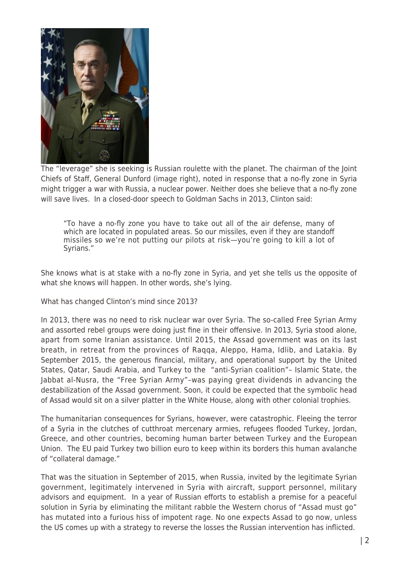

The "leverage" she is seeking is Russian roulette with the planet. The chairman of the Joint Chiefs of Staff, General Dunford (image right), noted in response that a no-fly zone in Syria might trigger a war with Russia, a nuclear power. Neither does she believe that a no-fly zone will save lives. In a closed-door speech to Goldman Sachs in 2013, Clinton said:

"To have a no-fly zone you have to take out all of the air defense, many of which are located in populated areas. So our missiles, even if they are standoff missiles so we're not putting our pilots at risk—you're going to kill a lot of Syrians."

She knows what is at stake with a no-fly zone in Syria, and yet she tells us the opposite of what she knows will happen. In other words, she's lying.

What has changed Clinton's mind since 2013?

In 2013, there was no need to risk nuclear war over Syria. The so-called Free Syrian Army and assorted rebel groups were doing just fine in their offensive. In 2013, Syria stood alone, apart from some Iranian assistance. Until 2015, the Assad government was on its last breath, in retreat from the provinces of Raqqa, Aleppo, Hama, Idlib, and Latakia. By September 2015, the generous financial, military, and operational support by the United States, Qatar, Saudi Arabia, and Turkey to the "anti-Syrian coalition"– Islamic State, the Jabbat al-Nusra, the "Free Syrian Army"–was paying great dividends in advancing the destabilization of the Assad government. Soon, it could be expected that the symbolic head of Assad would sit on a silver platter in the White House, along with other colonial trophies.

The humanitarian consequences for Syrians, however, were catastrophic. Fleeing the terror of a Syria in the clutches of cutthroat mercenary armies, refugees flooded Turkey, Jordan, Greece, and other countries, becoming human barter between Turkey and the European Union. The EU paid Turkey two billion euro to keep within its borders this human avalanche of "collateral damage."

That was the situation in September of 2015, when Russia, invited by the legitimate Syrian government, legitimately intervened in Syria with aircraft, support personnel, military advisors and equipment. In a year of Russian efforts to establish a premise for a peaceful solution in Syria by eliminating the militant rabble the Western chorus of "Assad must go" has mutated into a furious hiss of impotent rage. No one expects Assad to go now, unless the US comes up with a strategy to reverse the losses the Russian intervention has inflicted.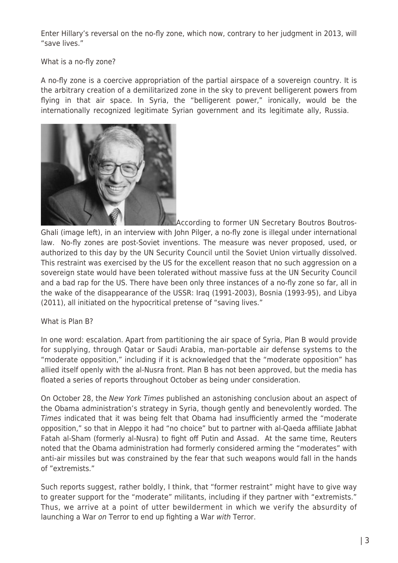Enter Hillary's reversal on the no-fly zone, which now, contrary to her judgment in 2013, will "save lives."

What is a no-fly zone?

A no-fly zone is a coercive appropriation of the partial airspace of a sovereign country. It is the arbitrary creation of a demilitarized zone in the sky to prevent belligerent powers from flying in that air space. In Syria, the "belligerent power," ironically, would be the internationally recognized legitimate Syrian government and its legitimate ally, Russia.



[A](http://www.globalresearch.ca/wp-content/uploads/2016/02/Boutros-Boutros-Ghali.jpg)ccording to former UN Secretary Boutros Boutros-Ghali (image left), in an interview with John Pilger, a no-fly zone is illegal under international law. No-fly zones are post-Soviet inventions. The measure was never proposed, used, or authorized to this day by the UN Security Council until the Soviet Union virtually dissolved. This restraint was exercised by the US for the excellent reason that no such aggression on a sovereign state would have been tolerated without massive fuss at the UN Security Council and a bad rap for the US. There have been only three instances of a no-fly zone so far, all in the wake of the disappearance of the USSR: Iraq (1991-2003), Bosnia (1993-95), and Libya (2011), all initiated on the hypocritical pretense of "saving lives."

What is Plan B?

In one word: escalation. Apart from partitioning the air space of Syria, Plan B would provide for supplying, through Qatar or Saudi Arabia, man-portable air defense systems to the "moderate opposition," including if it is acknowledged that the "moderate opposition" has allied itself openly with the al-Nusra front. Plan B has not been approved, but the media has floated a series of reports throughout October as being under consideration.

On October 28, the New York Times published an astonishing conclusion about an aspect of the Obama administration's strategy in Syria, though gently and benevolently worded. The Times indicated that it was being felt that Obama had insufficiently armed the "moderate opposition," so that in Aleppo it had "no choice" but to partner with al-Qaeda affiliate Jabhat Fatah al-Sham (formerly al-Nusra) to fight off Putin and Assad. At the same time, Reuters noted that the Obama administration had formerly considered arming the "moderates" with anti-air missiles but was constrained by the fear that such weapons would fall in the hands of "extremists."

Such reports suggest, rather boldly, I think, that "former restraint" might have to give way to greater support for the "moderate" militants, including if they partner with "extremists." Thus, we arrive at a point of utter bewilderment in which we verify the absurdity of launching a War on Terror to end up fighting a War with Terror.